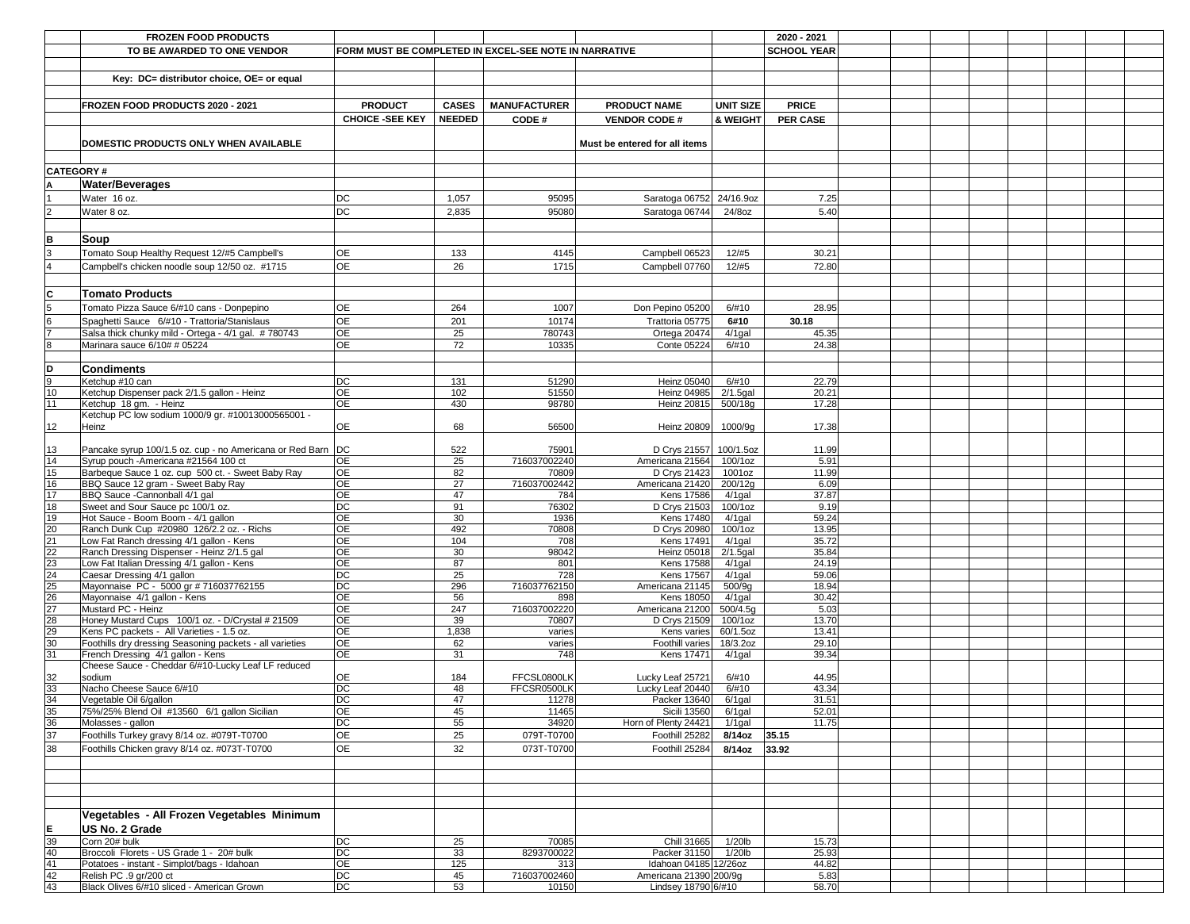|                                    | <b>FROZEN FOOD PRODUCTS</b>                                                                |                                                       |               |                       |                                           |                         | 2020 - 2021        |  |  |  |
|------------------------------------|--------------------------------------------------------------------------------------------|-------------------------------------------------------|---------------|-----------------------|-------------------------------------------|-------------------------|--------------------|--|--|--|
|                                    | TO BE AWARDED TO ONE VENDOR                                                                | FORM MUST BE COMPLETED IN EXCEL-SEE NOTE IN NARRATIVE |               |                       |                                           |                         | <b>SCHOOL YEAR</b> |  |  |  |
|                                    |                                                                                            |                                                       |               |                       |                                           |                         |                    |  |  |  |
|                                    | Key: DC= distributor choice, OE= or equal                                                  |                                                       |               |                       |                                           |                         |                    |  |  |  |
|                                    |                                                                                            |                                                       |               |                       |                                           |                         |                    |  |  |  |
|                                    | <b>FROZEN FOOD PRODUCTS 2020 - 2021</b>                                                    | <b>PRODUCT</b>                                        | <b>CASES</b>  | <b>MANUFACTURER</b>   | <b>PRODUCT NAME</b>                       | <b>UNIT SIZE</b>        | <b>PRICE</b>       |  |  |  |
|                                    |                                                                                            | <b>CHOICE -SEE KEY</b>                                | <b>NEEDED</b> | CODE#                 | <b>VENDOR CODE#</b>                       | <b>&amp; WEIGHT</b>     | <b>PER CASE</b>    |  |  |  |
|                                    |                                                                                            |                                                       |               |                       |                                           |                         |                    |  |  |  |
|                                    | DOMESTIC PRODUCTS ONLY WHEN AVAILABLE                                                      |                                                       |               |                       | Must be entered for all items             |                         |                    |  |  |  |
|                                    |                                                                                            |                                                       |               |                       |                                           |                         |                    |  |  |  |
| <b>CATEGORY#</b>                   |                                                                                            |                                                       |               |                       |                                           |                         |                    |  |  |  |
|                                    | <b>Water/Beverages</b>                                                                     |                                                       |               |                       |                                           |                         |                    |  |  |  |
|                                    | Water 16 oz.                                                                               | DC                                                    | 1,057         | 95095                 | Saratoga 06752                            | 24/16.9oz               | 7.25               |  |  |  |
|                                    | Water 8 oz.                                                                                | DC                                                    | 2,835         | 95080                 | Saratoga 06744                            | 24/8oz                  | 5.40               |  |  |  |
|                                    |                                                                                            |                                                       |               |                       |                                           |                         |                    |  |  |  |
| B                                  | Soup                                                                                       |                                                       |               |                       |                                           |                         |                    |  |  |  |
|                                    | Tomato Soup Healthy Request 12/#5 Campbell's                                               | OE                                                    | 133           | 4145                  | Campbell 06523                            | 12/#5                   | 30.21              |  |  |  |
|                                    | Campbell's chicken noodle soup 12/50 oz. #1715                                             | <b>OE</b>                                             | 26            | 1715                  | Campbell 07760                            | 12/#5                   | 72.80              |  |  |  |
|                                    |                                                                                            |                                                       |               |                       |                                           |                         |                    |  |  |  |
| $\mathbf{C}$                       | <b>Tomato Products</b>                                                                     |                                                       |               |                       |                                           |                         |                    |  |  |  |
|                                    | Tomato Pizza Sauce 6/#10 cans - Donpepino                                                  | <b>OE</b>                                             | 264           | 1007                  | Don Pepino 05200                          | 6/#10                   | 28.95              |  |  |  |
| 6                                  | Spaghetti Sauce 6/#10 - Trattoria/Stanislaus                                               | OE                                                    | 201           | 10174                 | Trattoria 05775                           | 6#10                    | 30.18              |  |  |  |
|                                    | Salsa thick chunky mild - Ortega - 4/1 gal. #780743                                        | <b>OE</b>                                             | 25            | 780743                | Ortega 20474                              | $4/1$ gal               | 45.35              |  |  |  |
| 8                                  | Marinara sauce 6/10# # 05224                                                               | <b>OE</b>                                             | 72            | 10335                 | <b>Conte 05224</b>                        | 6/#10                   | 24.38              |  |  |  |
|                                    |                                                                                            |                                                       |               |                       |                                           |                         |                    |  |  |  |
| D                                  | <b>Condiments</b>                                                                          |                                                       |               |                       |                                           |                         |                    |  |  |  |
| 10                                 | Ketchup #10 can<br>Ketchup Dispenser pack 2/1.5 gallon - Heinz                             | $\overline{D}C$<br><b>OE</b>                          | 131<br>102    | 51290<br>51550        | Heinz 05040<br><b>Heinz 04985</b>         | 6/#10<br>$2/1.5$ gal    | 22.79<br>20.21     |  |  |  |
| 11                                 | Ketchup 18 gm. - Heinz                                                                     | <b>OE</b>                                             | 430           | 98780                 | <b>Heinz 20815</b>                        | 500/18g                 | 17.28              |  |  |  |
|                                    | Ketchup PC low sodium 1000/9 gr. #10013000565001 -                                         |                                                       |               |                       |                                           |                         |                    |  |  |  |
| 12                                 | Heinz                                                                                      | <b>OE</b>                                             | 68            | 56500                 | Heinz 20809                               | 1000/9g                 | 17.38              |  |  |  |
|                                    |                                                                                            |                                                       |               |                       |                                           |                         |                    |  |  |  |
| 13<br>$\overline{14}$              | Pancake syrup 100/1.5 oz. cup - no Americana or Red Barn  DC                               | <b>OE</b>                                             | 522           | 75901<br>716037002240 | D Crys 21557 100/1.5oz<br>Americana 21564 |                         | 11.99<br>5.91      |  |  |  |
| 15                                 | Syrup pouch - Americana #21564 100 ct<br>Barbeque Sauce 1 oz. cup 500 ct. - Sweet Baby Ray | <b>OE</b>                                             | 25<br>82      | 70809                 | D Crys 21423                              | $100/1$ oz<br>1001oz    | 11.99              |  |  |  |
| 16                                 | BBQ Sauce 12 gram - Sweet Baby Ray                                                         | <b>OE</b>                                             | 27            | 716037002442          | Americana 21420                           | 200/12g                 | 6.09               |  |  |  |
| 17                                 | BBQ Sauce - Cannonball 4/1 gal                                                             | <b>OE</b>                                             | 47            | 784                   | <b>Kens 17586</b>                         | $4/1$ gal               | 37.87              |  |  |  |
| 18                                 | Sweet and Sour Sauce pc 100/1 oz.                                                          | $\overline{DC}$                                       | 91            | 76302                 | D Crys 21503                              | $100/1$ oz              | 9.19               |  |  |  |
| 19                                 | Hot Sauce - Boom Boom - 4/1 gallon                                                         | <b>OE</b>                                             | 30            | 1936                  | <b>Kens 17480</b>                         | $4/1$ gal               | 59.24              |  |  |  |
| $\overline{20}$<br>$\overline{21}$ | Ranch Dunk Cup #20980 126/2.2 oz. - Richs<br>Low Fat Ranch dressing 4/1 gallon - Kens      | <b>OE</b><br><b>OE</b>                                | 492<br>104    | 70808<br>708          | D Crys 20980<br>Kens 17491                | $100/1$ oz<br>$4/1$ gal | 13.95<br>35.72     |  |  |  |
|                                    | Ranch Dressing Dispenser - Heinz 2/1.5 gal                                                 | <b>OE</b>                                             | 30            | 98042                 | <b>Heinz 05018</b>                        | $2/1.5$ gal             | 35.84              |  |  |  |
|                                    | Low Fat Italian Dressing 4/1 gallon - Kens                                                 | <b>OE</b>                                             | 87            | 801                   | <b>Kens 17588</b>                         | $4/1$ gal               | 24.19              |  |  |  |
|                                    | Caesar Dressing 4/1 gallon                                                                 | $\overline{DC}$                                       | 25            | 728                   | <b>Kens 17567</b>                         | $4/1$ gal               | 59.06              |  |  |  |
|                                    | Mayonnaise PC - 5000 gr # 716037762155                                                     | $\overline{DC}$                                       | 296           | 716037762150          | Americana 21145                           | 500/9q                  | 18.94              |  |  |  |
|                                    | Mayonnaise 4/1 gallon - Kens<br>Mustard PC - Heinz                                         | <b>OE</b><br><b>OE</b>                                | 56<br>247     | 898<br>716037002220   | <b>Kens 18050</b><br>Americana 21200      | $4/1$ gal<br>500/4.5g   | 30.42<br>5.03      |  |  |  |
|                                    | Honey Mustard Cups 100/1 oz. - D/Crystal # 21509                                           | <b>OE</b>                                             | 39            | 70807                 | D Crys 21509                              | $100/1$ oz              | 13.70              |  |  |  |
|                                    | Kens PC packets - All Varieties - 1.5 oz.                                                  | <b>OE</b>                                             | 1,838         | varies                | Kens varies                               | 60/1.5oz                | 13.41              |  |  |  |
|                                    | Foothills dry dressing Seasoning packets - all varieties                                   | <b>OE</b>                                             | 62            | varies                | <b>Foothill varies</b>                    | 18/3.2oz                | 29.10              |  |  |  |
| $\overline{31}$                    | French Dressing 4/1 gallon - Kens                                                          | <b>OE</b>                                             | 31            | 748                   | Kens 17471                                | $4/1$ gal               | 39.34              |  |  |  |
|                                    | Cheese Sauce - Cheddar 6/#10-Lucky Leaf LF reduced<br>sodium                               | OE                                                    | 184           | FFCSL0800LK           | Lucky Leaf 25721                          | 6/#10                   | 44.95              |  |  |  |
|                                    | Nacho Cheese Sauce 6/#10                                                                   | DC                                                    | 48            | FFCSR0500LK           | Lucky Leaf 20440                          | 6/#10                   | 43.34              |  |  |  |
| $\frac{32}{33}$                    | Vegetable Oil 6/gallon                                                                     | $\overline{DC}$                                       | 47            | 11278                 | Packer 13640                              | $6/1$ gal               | 31.51              |  |  |  |
| $\frac{35}{36}$                    | 75%/25% Blend Oil #13560 6/1 gallon Sicilian                                               | <b>OE</b>                                             | 45            | 11465                 | <b>Sicili 13560</b>                       | $6/1$ gal               | 52.01              |  |  |  |
|                                    | Molasses - gallon                                                                          | <b>DC</b>                                             | 55            | 34920                 | Horn of Plenty 24421                      | $1/1$ gal               | 11.75              |  |  |  |
| 37                                 | Foothills Turkey gravy 8/14 oz. #079T-T0700                                                | OE                                                    | 25            | 079T-T0700            | Foothill 25282                            | 8/14oz 35.15            |                    |  |  |  |
| 38                                 | Foothills Chicken gravy 8/14 oz. #073T-T0700                                               | <b>OE</b>                                             | 32            | 073T-T0700            | Foothill 25284                            | 8/14oz 33.92            |                    |  |  |  |
|                                    |                                                                                            |                                                       |               |                       |                                           |                         |                    |  |  |  |
|                                    |                                                                                            |                                                       |               |                       |                                           |                         |                    |  |  |  |
|                                    |                                                                                            |                                                       |               |                       |                                           |                         |                    |  |  |  |
|                                    |                                                                                            |                                                       |               |                       |                                           |                         |                    |  |  |  |
|                                    | Vegetables - All Frozen Vegetables Minimum                                                 |                                                       |               |                       |                                           |                         |                    |  |  |  |
| E                                  | US No. 2 Grade                                                                             |                                                       |               |                       |                                           |                         |                    |  |  |  |
| 39<br>40                           | Corn 20# bulk<br>Broccoli Florets - US Grade 1 - 20# bulk                                  | DC<br><b>DC</b>                                       | 25<br>33      | 70085<br>8293700022   | <b>Chill 31665</b><br>Packer 31150        | $1/20$ lb<br>$1/20$ lb  | 15.73<br>25.93     |  |  |  |
| 41                                 | Potatoes - instant - Simplot/bags - Idahoan                                                | <b>OE</b>                                             | 125           | 313                   | Idahoan 04185 12/26oz                     |                         | 44.82              |  |  |  |
| 42                                 | Relish PC .9 gr/200 ct                                                                     | DC                                                    | 45            | 716037002460          | Americana 21390 200/9g                    |                         | 5.83               |  |  |  |
| 43                                 | Black Olives 6/#10 sliced - American Grown                                                 | DC                                                    | 53            | 10150                 | Lindsey 18790 6/#10                       |                         | 58.70              |  |  |  |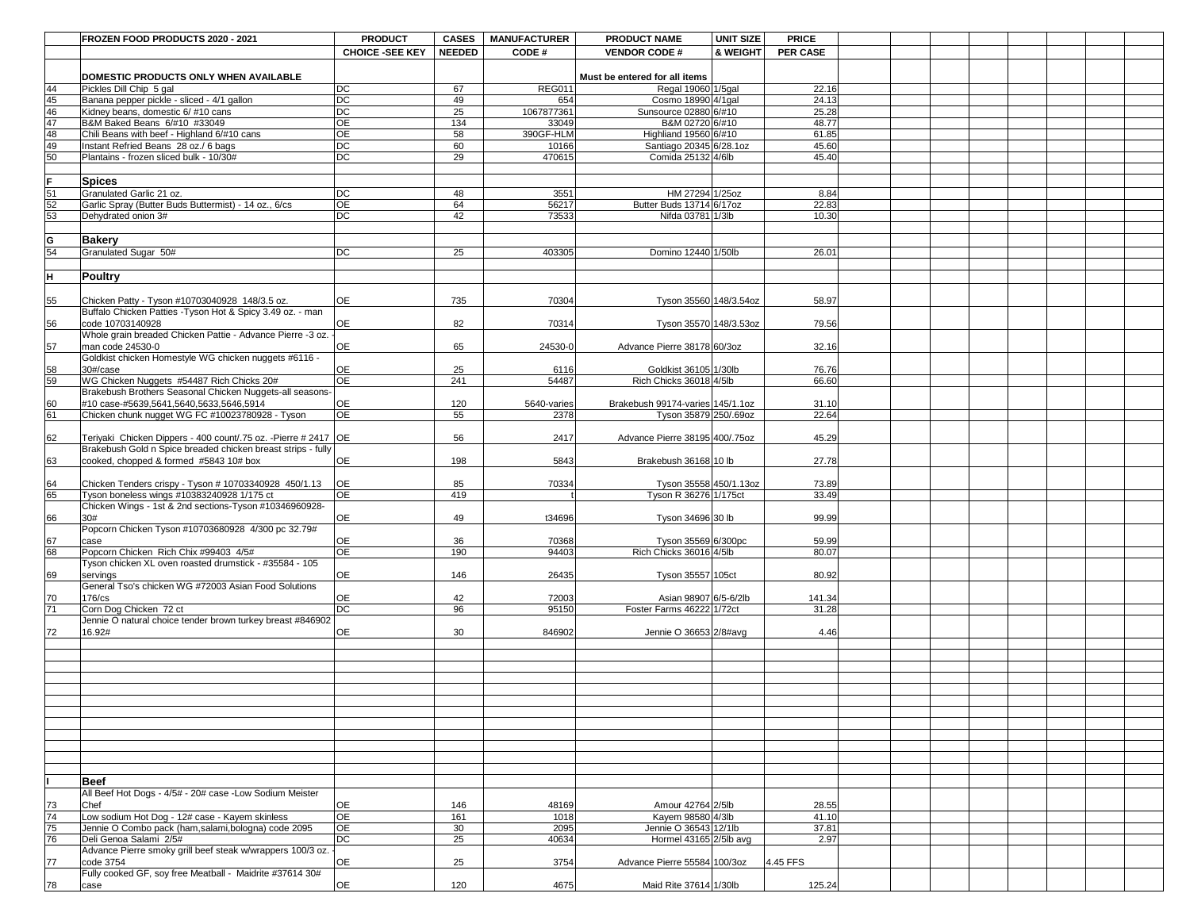|                       | <b>FROZEN FOOD PRODUCTS 2020 - 2021</b>                                                                | <b>PRODUCT</b>               | <b>CASES</b>  | <b>MANUFACTURER</b> | <b>PRODUCT NAME</b>                             | <b>UNIT SIZE</b> | <b>PRICE</b>    |  |  |  |
|-----------------------|--------------------------------------------------------------------------------------------------------|------------------------------|---------------|---------------------|-------------------------------------------------|------------------|-----------------|--|--|--|
|                       |                                                                                                        | <b>CHOICE -SEE KEY</b>       | <b>NEEDED</b> | CODE#               | <b>VENDOR CODE#</b>                             | & WEIGHT         | <b>PER CASE</b> |  |  |  |
|                       | DOMESTIC PRODUCTS ONLY WHEN AVAILABLE                                                                  |                              |               |                     | Must be entered for all items                   |                  |                 |  |  |  |
| 44                    | Pickles Dill Chip 5 gal                                                                                | DC                           | 67            | REG01               | Regal 19060 1/5gal                              |                  | 22.16           |  |  |  |
| 45                    | Banana pepper pickle - sliced - 4/1 gallon                                                             | DC                           | 49            | 654                 | Cosmo 18990 4/1gal                              |                  | 24.13           |  |  |  |
| 46                    | Kidney beans, domestic 6/ #10 cans                                                                     | DC                           | 25            | 1067877361          | Sunsource 02880 6/#10                           |                  | 25.28           |  |  |  |
| 47<br>48              | B&M Baked Beans 6/#10 #33049<br>Chili Beans with beef - Highland 6/#10 cans                            | $\overline{OE}$<br><b>OE</b> | 134<br>58     | 33049<br>390GF-HLM  | B&M 02720 6/#10<br>Highliand 19560 6/#10        |                  | 48.77<br>61.85  |  |  |  |
| 49                    | Instant Refried Beans 28 oz./ 6 bags                                                                   | DC                           | 60            | 10166               | Santiago 20345 6/28.1oz                         |                  | 45.60           |  |  |  |
| 50                    | Plantains - frozen sliced bulk - 10/30#                                                                | DC                           | 29            | 470615              | Comida 25132 4/6lb                              |                  | 45.40           |  |  |  |
|                       |                                                                                                        |                              |               |                     |                                                 |                  |                 |  |  |  |
|                       | <b>Spices</b>                                                                                          |                              |               |                     |                                                 |                  |                 |  |  |  |
| 51                    | <b>Granulated Garlic 21 oz.</b>                                                                        | <b>DC</b>                    | 48            | 3551                | HM 27294 1/25oz                                 |                  | 8.84            |  |  |  |
| $\overline{52}$<br>53 | Garlic Spray (Butter Buds Buttermist) - 14 oz., 6/cs<br>Dehydrated onion 3#                            | OE<br><b>DC</b>              | 64<br>42      | 56217<br>73533      | Butter Buds 13714 6/17oz<br>Nifda 03781 1/3lb   |                  | 22.83<br>10.30  |  |  |  |
|                       |                                                                                                        |                              |               |                     |                                                 |                  |                 |  |  |  |
| G                     | <b>Bakery</b>                                                                                          |                              |               |                     |                                                 |                  |                 |  |  |  |
| 54                    | Granulated Sugar 50#                                                                                   | <b>DC</b>                    | 25            | 403305              | Domino 12440 1/50lb                             |                  | 26.01           |  |  |  |
|                       |                                                                                                        |                              |               |                     |                                                 |                  |                 |  |  |  |
| H.                    | <b>Poultry</b>                                                                                         |                              |               |                     |                                                 |                  |                 |  |  |  |
| 55                    | Chicken Patty - Tyson #10703040928 148/3.5 oz.                                                         | <b>OE</b>                    | 735           | 70304               | Tyson 35560 148/3.54oz                          |                  | 58.97           |  |  |  |
|                       | Buffalo Chicken Patties - Tyson Hot & Spicy 3.49 oz. - man                                             |                              |               |                     |                                                 |                  |                 |  |  |  |
| 56                    | code 10703140928                                                                                       | <b>OE</b>                    | 82            | 70314               | Tyson 35570 148/3.53oz                          |                  | 79.56           |  |  |  |
|                       | Whole grain breaded Chicken Pattie - Advance Pierre -3 oz.                                             |                              |               |                     |                                                 |                  |                 |  |  |  |
| 57                    | man code 24530-0                                                                                       | <b>OE</b>                    | 65            | 24530-0             | Advance Pierre 38178 60/3oz                     |                  | 32.16           |  |  |  |
| 58                    | Goldkist chicken Homestyle WG chicken nuggets #6116 -<br>$30\frac{t}{c}$ case                          | <b>OE</b>                    | 25            | 6116                | Goldkist 36105 1/30lb                           |                  | 76.76           |  |  |  |
| 59                    | WG Chicken Nuggets #54487 Rich Chicks 20#                                                              | <b>OE</b>                    | 241           | 54487               | Rich Chicks 36018 4/5lb                         |                  | 66.60           |  |  |  |
|                       | Brakebush Brothers Seasonal Chicken Nuggets-all seasons-                                               |                              |               |                     |                                                 |                  |                 |  |  |  |
| 60                    | #10 case-#5639,5641,5640,5633,5646,5914                                                                | <b>OE</b>                    | 120           | 5640-varies         | Brakebush 99174-varies 145/1.1oz                |                  | 31.10           |  |  |  |
| 61                    | Chicken chunk nugget WG FC #10023780928 - Tyson                                                        | <b>OE</b>                    | 55            | 2378                | Tyson 35879 250/.69oz                           |                  | 22.64           |  |  |  |
| 62                    | Teriyaki Chicken Dippers - 400 count/.75 oz. -Pierre # 2417 OE                                         |                              | 56            | 2417                | Advance Pierre 38195 400/.75oz                  |                  | 45.29           |  |  |  |
|                       | Brakebush Gold n Spice breaded chicken breast strips - fully                                           |                              |               |                     |                                                 |                  |                 |  |  |  |
| 63                    | cooked, chopped & formed #5843 10# box                                                                 | <b>OE</b>                    | 198           | 5843                | Brakebush 36168 10 lb                           |                  | 27.78           |  |  |  |
|                       |                                                                                                        |                              |               |                     |                                                 |                  |                 |  |  |  |
| 64<br>65              | Chicken Tenders crispy - Tyson # 10703340928 450/1.13                                                  | <b>OE</b><br><b>OE</b>       | 85            | 70334               | Tyson 35558 450/1.13oz<br>Tyson R 36276 1/175ct |                  | 73.89<br>33.49  |  |  |  |
|                       | Tyson boneless wings #10383240928 1/175 ct<br>Chicken Wings - 1st & 2nd sections-Tyson #10346960928-   |                              | 419           |                     |                                                 |                  |                 |  |  |  |
| 66                    | 30#                                                                                                    | <b>OE</b>                    | 49            | t34696              | Tyson 34696 30 lb                               |                  | 99.99           |  |  |  |
|                       | Popcorn Chicken Tyson #10703680928 4/300 pc 32.79#                                                     |                              |               |                     |                                                 |                  |                 |  |  |  |
| 67                    | case                                                                                                   | <b>OE</b>                    | 36            | 70368               | Tyson 35569 6/300pc                             |                  | 59.99           |  |  |  |
| 68                    | Popcorn Chicken Rich Chix #99403 4/5#<br>Tyson chicken XL oven roasted drumstick - #35584 - 105        | <b>OE</b>                    | 190           | 94403               | Rich Chicks 36016 4/5lb                         |                  | 80.07           |  |  |  |
| 69                    | servings                                                                                               | <b>OE</b>                    | 146           | 26435               | Tyson 35557 105ct                               |                  | 80.92           |  |  |  |
|                       | General Tso's chicken WG #72003 Asian Food Solutions                                                   |                              |               |                     |                                                 |                  |                 |  |  |  |
| 70                    | 176/cs                                                                                                 | <b>OE</b>                    | 42            | 72003               | Asian 98907 6/5-6/2lb                           |                  | 141.34          |  |  |  |
| 71                    | Corn Dog Chicken 72 ct                                                                                 | DC                           | 96            | 95150               | Foster Farms 46222 1/72ct                       |                  | 31.28           |  |  |  |
| 72                    | Jennie O natural choice tender brown turkey breast #846902<br>16.92#                                   | <b>OE</b>                    | 30            | 846902              | Jennie O 36653 2/8#avg                          |                  | 4.46            |  |  |  |
|                       |                                                                                                        |                              |               |                     |                                                 |                  |                 |  |  |  |
|                       |                                                                                                        |                              |               |                     |                                                 |                  |                 |  |  |  |
|                       |                                                                                                        |                              |               |                     |                                                 |                  |                 |  |  |  |
|                       |                                                                                                        |                              |               |                     |                                                 |                  |                 |  |  |  |
|                       |                                                                                                        |                              |               |                     |                                                 |                  |                 |  |  |  |
|                       |                                                                                                        |                              |               |                     |                                                 |                  |                 |  |  |  |
|                       |                                                                                                        |                              |               |                     |                                                 |                  |                 |  |  |  |
|                       |                                                                                                        |                              |               |                     |                                                 |                  |                 |  |  |  |
|                       |                                                                                                        |                              |               |                     |                                                 |                  |                 |  |  |  |
|                       |                                                                                                        |                              |               |                     |                                                 |                  |                 |  |  |  |
|                       | <b>Beef</b>                                                                                            |                              |               |                     |                                                 |                  |                 |  |  |  |
|                       | All Beef Hot Dogs - 4/5# - 20# case -Low Sodium Meister                                                |                              |               |                     |                                                 |                  |                 |  |  |  |
| 73                    | <b>Chef</b>                                                                                            | <b>OE</b>                    | 146           | 48169               | Amour 42764 2/5lb                               |                  | 28.55           |  |  |  |
| $\overline{74}$<br>75 | Low sodium Hot Dog - 12# case - Kayem skinless<br>Jennie O Combo pack (ham, salami, bologna) code 2095 | OE<br><b>OE</b>              | 161<br>30     | 1018<br>2095        | Kayem 98580 4/3lb<br>Jennie O 36543 12/1lb      |                  | 41.10<br>37.81  |  |  |  |
| $\overline{76}$       | Deli Genoa Salami 2/5#                                                                                 | $\overline{DC}$              | 25            | 40634               | Hormel 43165 2/5lb avg                          |                  | 2.97            |  |  |  |
|                       | Advance Pierre smoky grill beef steak w/wrappers 100/3 oz.                                             |                              |               |                     |                                                 |                  |                 |  |  |  |
| 77                    | code 3754                                                                                              | <b>OE</b>                    | 25            | 3754                | Advance Pierre 55584 100/3oz                    |                  | 4.45 FFS        |  |  |  |
|                       | Fully cooked GF, soy free Meatball - Maidrite #37614 30#                                               |                              |               |                     |                                                 |                  |                 |  |  |  |
| 78                    | case                                                                                                   | <b>OE</b>                    | 120           | 4675                | Maid Rite 37614 1/30lb                          |                  | 125.24          |  |  |  |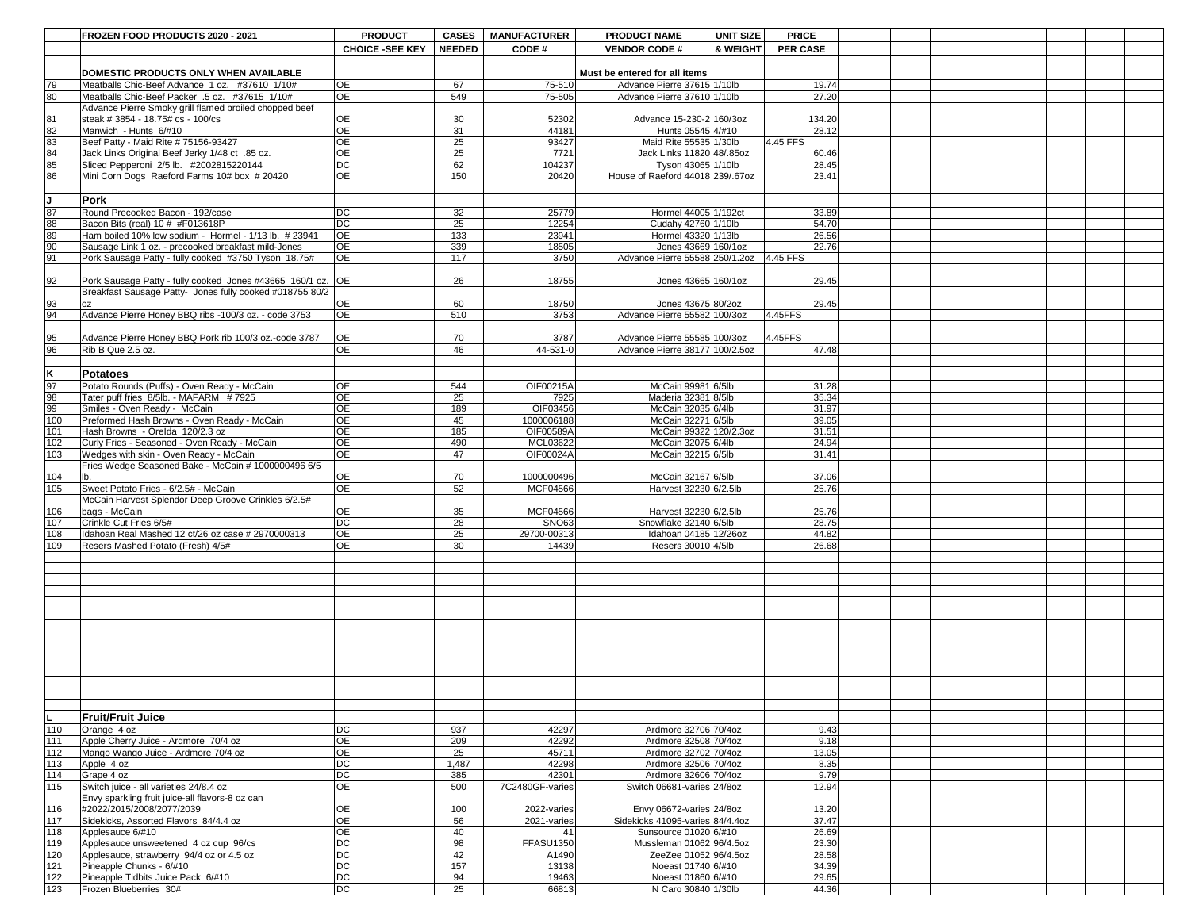|                  | <b>FROZEN FOOD PRODUCTS 2020 - 2021</b>                     | <b>PRODUCT</b>         | <b>CASES</b>  | <b>MANUFACTURER</b> | <b>PRODUCT NAME</b>              | <b>UNIT SIZE</b>    | <b>PRICE</b>    |  |  |  |  |
|------------------|-------------------------------------------------------------|------------------------|---------------|---------------------|----------------------------------|---------------------|-----------------|--|--|--|--|
|                  |                                                             | <b>CHOICE -SEE KEY</b> | <b>NEEDED</b> |                     |                                  | <b>&amp; WEIGHT</b> | <b>PER CASE</b> |  |  |  |  |
|                  |                                                             |                        |               | CODE#               | <b>VENDOR CODE#</b>              |                     |                 |  |  |  |  |
|                  |                                                             |                        |               |                     |                                  |                     |                 |  |  |  |  |
|                  | DOMESTIC PRODUCTS ONLY WHEN AVAILABLE                       |                        |               |                     | Must be entered for all items    |                     |                 |  |  |  |  |
| 79               | Meatballs Chic-Beef Advance 1 oz. #37610 1/10#              | <b>OE</b>              | 67            | 75-510              | Advance Pierre 37615 1/10lb      |                     | 19.74           |  |  |  |  |
| 80               | Meatballs Chic-Beef Packer .5 oz. #37615 1/10#              | OE                     | 549           | 75-505              | Advance Pierre 37610 1/10lb      |                     | 27.20           |  |  |  |  |
|                  | Advance Pierre Smoky grill flamed broiled chopped beef      |                        |               |                     |                                  |                     |                 |  |  |  |  |
| 81               | steak # 3854 - 18.75# cs - 100/cs                           | <b>OE</b>              | 30            | 52302               | Advance 15-230-2 160/30z         |                     | 134.20          |  |  |  |  |
| 82               | Manwich - Hunts 6/#10                                       | <b>OE</b>              | 31            | 44181               | Hunts 05545 4/#10                |                     | 28.12           |  |  |  |  |
| 83               | Beef Patty - Maid Rite # 75156-93427                        | <b>OE</b>              | 25            | 93427               | Maid Rite 55535 1/30lb           |                     | 4.45 FFS        |  |  |  |  |
| 84               | Jack Links Original Beef Jerky 1/48 ct .85 oz.              | <b>OE</b>              | 25            | 7721                | Jack Links 11820 48/.85oz        |                     | 60.46           |  |  |  |  |
| 85               | Sliced Pepperoni 2/5 lb. #2002815220144                     | <b>DC</b>              | 62            | 104237              | Tyson 43065 1/10lb               |                     | 28.45           |  |  |  |  |
| 86               | Mini Corn Dogs Raeford Farms 10# box # 20420                | OE                     | 150           | 20420               | House of Raeford 44018 239/.67oz |                     | 23.41           |  |  |  |  |
|                  |                                                             |                        |               |                     |                                  |                     |                 |  |  |  |  |
|                  |                                                             |                        |               |                     |                                  |                     |                 |  |  |  |  |
|                  | Pork                                                        |                        |               |                     |                                  |                     |                 |  |  |  |  |
| $\overline{87}$  | Round Precooked Bacon - 192/case                            | <b>DC</b>              | 32            | 25779               | Hormel 44005 1/192ct             |                     | 33.89           |  |  |  |  |
| 88               | Bacon Bits (real) 10 # #F013618P                            | DC                     | 25            | 12254               | Cudahy 42760 1/10lb              |                     | 54.70           |  |  |  |  |
| 89               | Ham boiled 10% low sodium - Hormel - 1/13 lb. # 23941       | <b>OE</b>              | 133           | 23941               | Hormel 43320 1/13lb              |                     | 26.56           |  |  |  |  |
| $\overline{90}$  | Sausage Link 1 oz. - precooked breakfast mild-Jones         | <b>OE</b>              | 339           | 18505               | Jones 43669 160/1oz              |                     | 22.76           |  |  |  |  |
| 91               | Pork Sausage Patty - fully cooked #3750 Tyson 18.75#        | <b>OE</b>              | 117           | 3750                | Advance Pierre 55588 250/1.2oz   |                     | $4.45$ FFS      |  |  |  |  |
|                  |                                                             |                        |               |                     |                                  |                     |                 |  |  |  |  |
| 92               | Pork Sausage Patty - fully cooked Jones #43665 160/1 oz. OE |                        | 26            | 18755               | Jones 43665 160/1oz              |                     | 29.45           |  |  |  |  |
|                  | Breakfast Sausage Patty- Jones fully cooked #018755 80/2    |                        |               |                     |                                  |                     |                 |  |  |  |  |
| 93               |                                                             | <b>OE</b>              | 60            | 18750               | Jones 43675 80/2oz               |                     | 29.45           |  |  |  |  |
| 94               | Advance Pierre Honey BBQ ribs -100/3 oz. - code 3753        | <b>OE</b>              | 510           | 3753                | Advance Pierre 55582 100/3oz     |                     | 4.45FFS         |  |  |  |  |
|                  |                                                             |                        |               |                     |                                  |                     |                 |  |  |  |  |
|                  |                                                             |                        |               |                     |                                  |                     |                 |  |  |  |  |
| 95               | Advance Pierre Honey BBQ Pork rib 100/3 oz.-code 3787       | <b>OE</b>              | 70            | 3787                | Advance Pierre 55585 100/30z     |                     | 4.45FFS         |  |  |  |  |
| 96               | Rib B Que 2.5 oz.                                           | OE                     | 46            | 44-531-0            | Advance Pierre 38177 100/2.5oz   |                     | 47.48           |  |  |  |  |
|                  |                                                             |                        |               |                     |                                  |                     |                 |  |  |  |  |
|                  | Potatoes                                                    |                        |               |                     |                                  |                     |                 |  |  |  |  |
| $\overline{97}$  | Potato Rounds (Puffs) - Oven Ready - McCain                 | <b>OE</b>              | 544           | OIF00215A           | McCain 99981 6/5lb               |                     | 31.28           |  |  |  |  |
| 98               | Tater puff fries 8/5lb. - MAFARM #7925                      | <b>OE</b>              | 25            | 7925                | Maderia 32381 8/5lb              |                     | 35.34           |  |  |  |  |
| 99               | Smiles - Oven Ready - McCain                                | <b>OE</b>              | 189           | OIF03456            | McCain 32035 6/4lb               |                     | 31.97           |  |  |  |  |
| 100              | Preformed Hash Browns - Oven Ready - McCain                 | <b>OE</b>              | 45            | 1000006188          | McCain 32271 6/5lb               |                     | 39.05           |  |  |  |  |
| 101              | Hash Browns - Orelda 120/2.3 oz                             | <b>OE</b>              | 185           | OIF00589A           | McCain 99322 120/2.3oz           |                     | 31.51           |  |  |  |  |
| 102              | Curly Fries - Seasoned - Oven Ready - McCain                | <b>OE</b>              | 490           | MCL03622            | McCain 32075 6/4lb               |                     | 24.94           |  |  |  |  |
| 103              |                                                             | <b>OE</b>              | 47            | OIF00024A           | McCain 32215 6/5lb               |                     | 31.41           |  |  |  |  |
|                  | Wedges with skin - Oven Ready - McCain                      |                        |               |                     |                                  |                     |                 |  |  |  |  |
|                  | Fries Wedge Seasoned Bake - McCain # 1000000496 6/5         |                        |               |                     |                                  |                     |                 |  |  |  |  |
| 104              |                                                             | <b>OE</b>              | 70            | 1000000496          | McCain 32167 6/5lb               |                     | 37.06           |  |  |  |  |
| 105              | Sweet Potato Fries - 6/2.5# - McCain                        | <b>OE</b>              | 52            | <b>MCF04566</b>     | Harvest 32230 6/2.5lb            |                     | 25.76           |  |  |  |  |
|                  | McCain Harvest Splendor Deep Groove Crinkles 6/2.5#         |                        |               |                     |                                  |                     |                 |  |  |  |  |
| 106              | bags - McCain                                               | <b>OE</b>              | 35            | <b>MCF04566</b>     | Harvest 32230 6/2.5lb            |                     | 25.76           |  |  |  |  |
| 107              | Crinkle Cut Fries 6/5#                                      | <b>DC</b>              | 28            | <b>SNO63</b>        | Snowflake $32140 6/5lb$          |                     | 28.75           |  |  |  |  |
| 108              | Idahoan Real Mashed 12 ct/26 oz case # 2970000313           | <b>OE</b>              | 25            | 29700-00313         | Idahoan 04185 12/26oz            |                     | 44.82           |  |  |  |  |
| 109              | Resers Mashed Potato (Fresh) 4/5#                           | OE                     | 30            | 14439               | Resers 30010 4/5 lb              |                     | 26.68           |  |  |  |  |
|                  |                                                             |                        |               |                     |                                  |                     |                 |  |  |  |  |
|                  |                                                             |                        |               |                     |                                  |                     |                 |  |  |  |  |
|                  |                                                             |                        |               |                     |                                  |                     |                 |  |  |  |  |
|                  |                                                             |                        |               |                     |                                  |                     |                 |  |  |  |  |
|                  |                                                             |                        |               |                     |                                  |                     |                 |  |  |  |  |
|                  |                                                             |                        |               |                     |                                  |                     |                 |  |  |  |  |
|                  |                                                             |                        |               |                     |                                  |                     |                 |  |  |  |  |
|                  |                                                             |                        |               |                     |                                  |                     |                 |  |  |  |  |
|                  |                                                             |                        |               |                     |                                  |                     |                 |  |  |  |  |
|                  |                                                             |                        |               |                     |                                  |                     |                 |  |  |  |  |
|                  |                                                             |                        |               |                     |                                  |                     |                 |  |  |  |  |
|                  |                                                             |                        |               |                     |                                  |                     |                 |  |  |  |  |
|                  |                                                             |                        |               |                     |                                  |                     |                 |  |  |  |  |
|                  |                                                             |                        |               |                     |                                  |                     |                 |  |  |  |  |
|                  |                                                             |                        |               |                     |                                  |                     |                 |  |  |  |  |
|                  | <b>Fruit/Fruit Juice</b>                                    |                        |               |                     |                                  |                     |                 |  |  |  |  |
| $\overline{110}$ | Orange 4 oz                                                 | DC                     | 937           | 42297               | Ardmore 32706 70/4oz             |                     | 9.43            |  |  |  |  |
| 111              | Apple Cherry Juice - Ardmore 70/4 oz                        | OE                     | 209           | 42292               | Ardmore 32508 70/4oz             |                     | 9.18            |  |  |  |  |
| 112              | Mango Wango Juice - Ardmore 70/4 oz                         | <b>OE</b>              | 25            | 45711               | Ardmore 32702 70/4oz             |                     | 13.05           |  |  |  |  |
| 113              | Apple 4 oz                                                  | <b>DC</b>              | 1,487         | 42298               | Ardmore 32506 70/4oz             |                     | 8.35            |  |  |  |  |
| 114              | Grape 4 oz                                                  | DC                     | 385           | 42301               | Ardmore 32606 70/4oz             |                     | 9.79            |  |  |  |  |
|                  | Switch juice - all varieties 24/8.4 oz                      | OE                     |               |                     |                                  |                     |                 |  |  |  |  |
| 115              |                                                             |                        | 500           | 7C2480GF-varies     | Switch 06681-varies 24/8oz       |                     | 12.94           |  |  |  |  |
|                  | Envy sparkling fruit juice-all flavors-8 oz can             |                        |               |                     |                                  |                     |                 |  |  |  |  |
| 116              | #2022/2015/2008/2077/2039                                   | <b>OE</b>              | 100           | 2022-varies         | Envy 06672-varies $24/8$ oz      |                     | 13.20           |  |  |  |  |
| 117              | Sidekicks, Assorted Flavors 84/4.4 oz                       | OE                     | 56            | 2021-varies         | Sidekicks 41095-varies 84/4.4oz  |                     | 37.47           |  |  |  |  |
| 118              | Applesauce 6/#10                                            | OE                     | 40            |                     | Sunsource 01020 6/#10            |                     | 26.69           |  |  |  |  |
| 119              | Applesauce unsweetened 4 oz cup 96/cs                       | <b>DC</b>              | 98            | <b>FFASU1350</b>    | Mussleman 01062 96/4.5oz         |                     | 23.30           |  |  |  |  |
| 120              | Applesauce, strawberry 94/4 oz or 4.5 oz                    | DC                     | 42            | A1490               | ZeeZee 01052 96/4.5oz            |                     | 28.58           |  |  |  |  |
| 121              | Pineapple Chunks - 6/#10                                    | $\overline{DC}$        | 157           | 13138               | Noeast 01740 6/#10               |                     | 34.39           |  |  |  |  |
| 122              | Pineapple Tidbits Juice Pack 6/#10                          | DC                     | 94            | 19463               | Noeast 01860 6/#10               |                     | 29.65           |  |  |  |  |
| 123              | Frozen Blueberries 30#                                      | DC                     | 25            | 66813               | N Caro 30840 1/30lb              |                     | 44.36           |  |  |  |  |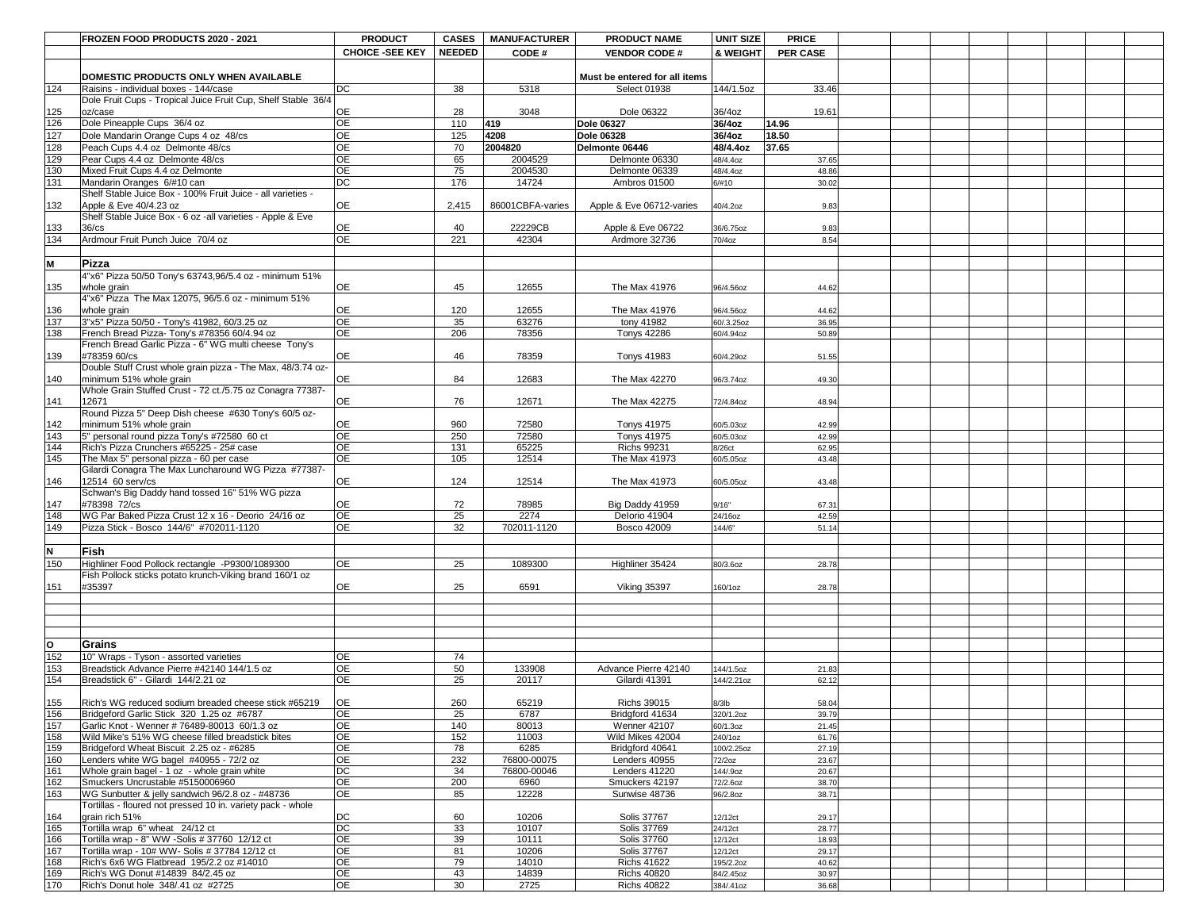|                         | <b>FROZEN FOOD PRODUCTS 2020 - 2021</b>                                                 | <b>PRODUCT</b>               | <b>CASES</b>  | <b>MANUFACTURER</b> | <b>PRODUCT NAME</b>                 | <b>UNIT SIZE</b>        | <b>PRICE</b>    |  |  |  |
|-------------------------|-----------------------------------------------------------------------------------------|------------------------------|---------------|---------------------|-------------------------------------|-------------------------|-----------------|--|--|--|
|                         |                                                                                         | <b>CHOICE -SEE KEY</b>       | <b>NEEDED</b> | CODE#               | <b>VENDOR CODE#</b>                 | <b>&amp; WEIGHT</b>     | <b>PER CASE</b> |  |  |  |
|                         |                                                                                         |                              |               |                     |                                     |                         |                 |  |  |  |
|                         | <b>DOMESTIC PRODUCTS ONLY WHEN AVAILABLE</b>                                            |                              |               |                     | Must be entered for all items       |                         |                 |  |  |  |
| 124                     | Raisins - individual boxes - 144/case                                                   | DC                           | 38            | 5318                | <b>Select 01938</b>                 | 144/1.5oz               | 33.46           |  |  |  |
|                         | Dole Fruit Cups - Tropical Juice Fruit Cup, Shelf Stable 36/4                           |                              |               |                     |                                     |                         |                 |  |  |  |
| 125                     | oz/case                                                                                 | OE                           | 28            | 3048                | Dole 06322                          | 36/4oz                  | 19.61           |  |  |  |
| 126                     | Dole Pineapple Cups 36/4 oz                                                             | <b>OE</b>                    | 110           | 419                 | <b>Dole 06327</b>                   | 36/4oz                  | 14.96           |  |  |  |
| $127$                   | Dole Mandarin Orange Cups 4 oz 48/cs                                                    | <b>OE</b>                    | 125           | 4208                | <b>Dole 06328</b>                   | 36/4oz                  | 18.50           |  |  |  |
| 128                     | Peach Cups 4.4 oz Delmonte 48/cs                                                        | <b>OE</b>                    | 70            | 2004820             | Delmonte 06446                      | 48/4.4oz                | 37.65           |  |  |  |
| 129                     | Pear Cups 4.4 oz Delmonte 48/cs                                                         | <b>OE</b>                    | 65            | 2004529             | Delmonte 06330                      | 48/4.4oz                | 37.65           |  |  |  |
| 130<br>131              | Mixed Fruit Cups 4.4 oz Delmonte<br>Mandarin Oranges 6/#10 can                          | <b>OE</b><br>$\overline{DC}$ | 75<br>176     | 2004530<br>14724    | Delmonte 06339<br>Ambros 01500      | 48/4.4oz<br>6/#10       | 48.86           |  |  |  |
|                         | Shelf Stable Juice Box - 100% Fruit Juice - all varieties -                             |                              |               |                     |                                     |                         | 30.02           |  |  |  |
| 132                     | Apple & Eve 40/4.23 oz                                                                  | OE                           | 2,415         | 86001CBFA-varies    | Apple & Eve 06712-varies            | 40/4.2oz                | 9.83            |  |  |  |
|                         | Shelf Stable Juice Box - 6 oz -all varieties - Apple & Eve                              |                              |               |                     |                                     |                         |                 |  |  |  |
| 133                     | $36$ / $cs$                                                                             | <b>OE</b>                    | 40            | 22229CB             | Apple & Eve 06722                   | 36/6.75oz               | 9.83            |  |  |  |
| 134                     | Ardmour Fruit Punch Juice 70/4 oz                                                       | <b>OE</b>                    | 221           | 42304               | Ardmore 32736                       | 70/4oz                  | 8.54            |  |  |  |
|                         |                                                                                         |                              |               |                     |                                     |                         |                 |  |  |  |
| M                       | Pizza                                                                                   |                              |               |                     |                                     |                         |                 |  |  |  |
|                         | 4"x6" Pizza 50/50 Tony's 63743,96/5.4 oz - minimum 51%                                  |                              |               |                     |                                     |                         |                 |  |  |  |
| 135                     | whole grain                                                                             | <b>OE</b>                    | 45            | 12655               | The Max 41976                       | 96/4.56oz               | 44.62           |  |  |  |
|                         | 4"x6" Pizza The Max 12075, 96/5.6 oz - minimum 51%                                      |                              |               |                     |                                     |                         |                 |  |  |  |
| 136<br>137              | whole grain<br>3"x5" Pizza 50/50 - Tony's 41982, 60/3.25 oz                             | <b>OE</b><br><b>OE</b>       | 120<br>35     | 12655<br>63276      | The Max 41976<br>tony 41982         | 96/4.56oz               | 44.62           |  |  |  |
| 138                     | French Bread Pizza- Tony's #78356 60/4.94 oz                                            | <b>OE</b>                    | 206           | 78356               | <b>Tonys 42286</b>                  | 60/.3.25oz<br>60/4.94oz | 36.95<br>50.89  |  |  |  |
|                         | French Bread Garlic Pizza - 6" WG multi cheese Tony's                                   |                              |               |                     |                                     |                         |                 |  |  |  |
| 139                     | #78359 60/cs                                                                            | <b>OE</b>                    | 46            | 78359               | <b>Tonys 41983</b>                  | 60/4.29oz               | 51.55           |  |  |  |
|                         | Double Stuff Crust whole grain pizza - The Max, 48/3.74 oz-                             |                              |               |                     |                                     |                         |                 |  |  |  |
| 140                     | minimum 51% whole grain                                                                 | OE                           | 84            | 12683               | The Max 42270                       | 96/3.74oz               | 49.30           |  |  |  |
|                         | Whole Grain Stuffed Crust - 72 ct./5.75 oz Conagra 77387-                               |                              |               |                     |                                     |                         |                 |  |  |  |
| 141                     | 12671                                                                                   | <b>OE</b>                    | 76            | 12671               | The Max 42275                       | 72/4.84oz               | 48.94           |  |  |  |
|                         | Round Pizza 5" Deep Dish cheese #630 Tony's 60/5 oz-                                    |                              |               |                     |                                     |                         |                 |  |  |  |
| 142                     | minimum 51% whole grain                                                                 | <b>OE</b>                    | 960           | 72580               | <b>Tonys 41975</b>                  | 60/5.03oz               | 42.99           |  |  |  |
| 143<br>144              | 5" personal round pizza Tony's #72580 60 ct                                             | <b>OE</b>                    | 250           | 72580               | <b>Tonys 41975</b>                  | 60/5.03oz               | 42.99           |  |  |  |
| $\overline{145}$        | Rich's Pizza Crunchers #65225 - 25# case<br>The Max 5" personal pizza - 60 per case     | <b>OE</b><br><b>OE</b>       | 131<br>105    | 65225<br>12514      | <b>Richs 99231</b><br>The Max 41973 | 8/26ct<br>60/5.05oz     | 62.95<br>43.48  |  |  |  |
|                         | Gilardi Conagra The Max Luncharound WG Pizza #77387-                                    |                              |               |                     |                                     |                         |                 |  |  |  |
| 146                     | 12514 60 serv/cs                                                                        | <b>OE</b>                    | 124           | 12514               | The Max 41973                       | 60/5.05oz               | 43.48           |  |  |  |
|                         | Schwan's Big Daddy hand tossed 16" 51% WG pizza                                         |                              |               |                     |                                     |                         |                 |  |  |  |
| 147                     | #78398 72/cs                                                                            | <b>OE</b>                    | 72            | 78985               | Big Daddy 41959                     | 9/16"                   | 67.31           |  |  |  |
| 148                     | WG Par Baked Pizza Crust 12 x 16 - Deorio 24/16 oz                                      | <b>OE</b>                    | 25            | 2274                | Delorio 41904                       | 24/16oz                 | 42.59           |  |  |  |
| 149                     | Pizza Stick - Bosco 144/6" #702011-1120                                                 | <b>OE</b>                    | 32            | 702011-1120         | <b>Bosco 42009</b>                  | 144/6"                  | 51.14           |  |  |  |
|                         |                                                                                         |                              |               |                     |                                     |                         |                 |  |  |  |
| N                       | Fish                                                                                    |                              |               |                     |                                     |                         |                 |  |  |  |
| 150                     | Highliner Food Pollock rectangle -P9300/1089300                                         | <b>OE</b>                    | 25            | 1089300             | Highliner 35424                     | 80/3.6oz                | 28.78           |  |  |  |
|                         | Fish Pollock sticks potato krunch-Viking brand 160/1 oz                                 |                              |               |                     |                                     |                         |                 |  |  |  |
| 151                     | #35397                                                                                  | <b>OE</b>                    | 25            | 6591                | Viking 35397                        | 160/1oz                 | 28.78           |  |  |  |
|                         |                                                                                         |                              |               |                     |                                     |                         |                 |  |  |  |
|                         |                                                                                         |                              |               |                     |                                     |                         |                 |  |  |  |
|                         |                                                                                         |                              |               |                     |                                     |                         |                 |  |  |  |
| $\overline{\mathsf{O}}$ | Grains                                                                                  |                              |               |                     |                                     |                         |                 |  |  |  |
| 152                     | 10" Wraps - Tyson - assorted varieties                                                  | <b>OE</b>                    | 74            |                     |                                     |                         |                 |  |  |  |
| 153                     | Breadstick Advance Pierre #42140 144/1.5 oz                                             | <b>OE</b>                    | 50            | 133908              | Advance Pierre 42140                | 144/1.5oz               | 21.83           |  |  |  |
| 154                     | Breadstick 6" - Gilardi 144/2.21 oz                                                     | <b>OE</b>                    | 25            | 20117               | Gilardi 41391                       | 144/2.21oz              | 62.12           |  |  |  |
|                         |                                                                                         |                              |               |                     |                                     |                         |                 |  |  |  |
| 155                     | Rich's WG reduced sodium breaded cheese stick #65219                                    | <b>OE</b>                    | 260           | 65219               | <b>Richs 39015</b>                  | $8/3$ lb                | 58.04           |  |  |  |
| 156                     | Bridgeford Garlic Stick 320 1.25 oz #6787                                               | <b>OE</b>                    | 25            | 6787                | Bridgford 41634                     | 320/1.2oz               | 39.79           |  |  |  |
| 157                     | Garlic Knot - Wenner # 76489-80013 60/1.3 oz                                            | <b>OE</b>                    | 140           | 80013               | <b>Wenner 42107</b>                 | 60/1.3oz                | 21.45           |  |  |  |
|                         | Wild Mike's 51% WG cheese filled breadstick bites                                       | <b>OE</b>                    | 152           | 11003               | Wild Mikes 42004                    | 240/1oz                 | 61.76           |  |  |  |
| 159<br>160              | Bridgeford Wheat Biscuit 2.25 oz - #6285                                                | OE<br><b>OE</b>              | 78<br>232     | 6285<br>76800-00075 | Bridgford 40641<br>Lenders 40955    | 100/2.25oz              | 27.19           |  |  |  |
| 161                     | Lenders white WG bagel #40955 - 72/2 oz<br>Whole grain bagel - 1 oz - whole grain white | DC                           | 34            | 76800-00046         | Lenders 41220                       | 72/2oz<br>144/.9oz      | 23.67<br>20.67  |  |  |  |
| 162                     | Smuckers Uncrustable #5150006960                                                        | <b>OE</b>                    | 200           | 6960                | Smuckers 42197                      | 72/2.6oz                | 38.70           |  |  |  |
| 163                     | WG Sunbutter & jelly sandwich 96/2.8 oz - #48736                                        | <b>OE</b>                    | 85            | 12228               | Sunwise 48736                       | 96/2.8oz                | 38.71           |  |  |  |
|                         | Tortillas - floured not pressed 10 in. variety pack - whole                             |                              |               |                     |                                     |                         |                 |  |  |  |
| 164                     | grain rich 51%                                                                          | DC                           | 60            | 10206               | <b>Solis 37767</b>                  | 12/12ct                 | 29.17           |  |  |  |
| 165                     | Tortilla wrap 6" wheat 24/12 ct                                                         | <b>DC</b>                    | 33            | 10107               | Solis 37769                         | 24/12ct                 | 28.77           |  |  |  |
| 166                     | Tortilla wrap - 8" WW -Solis # 37760 12/12 ct                                           | <b>OE</b>                    | 39            | 10111               | Solis 37760                         | 12/12ct                 | 18.93           |  |  |  |
| 167                     | Tortilla wrap - 10# WW- Solis # 37784 12/12 ct                                          | <b>OE</b>                    | 81            | 10206               | <b>Solis 37767</b>                  | 12/12ct                 | 29.17           |  |  |  |
| 168                     | Rich's 6x6 WG Flatbread 195/2.2 oz #14010                                               | OE                           | 79            | 14010               | <b>Richs 41622</b>                  | 195/2.2oz               | 40.62           |  |  |  |
| 169                     | Rich's WG Donut #14839 84/2.45 oz                                                       | OE                           | 43            | 14839               | <b>Richs 40820</b>                  | 84/2.45oz               | 30.97           |  |  |  |
| 170                     | Rich's Donut hole 348/.41 oz #2725                                                      | <b>OE</b>                    | 30            | 2725                | <b>Richs 40822</b>                  | 384/.41oz               | 36.68           |  |  |  |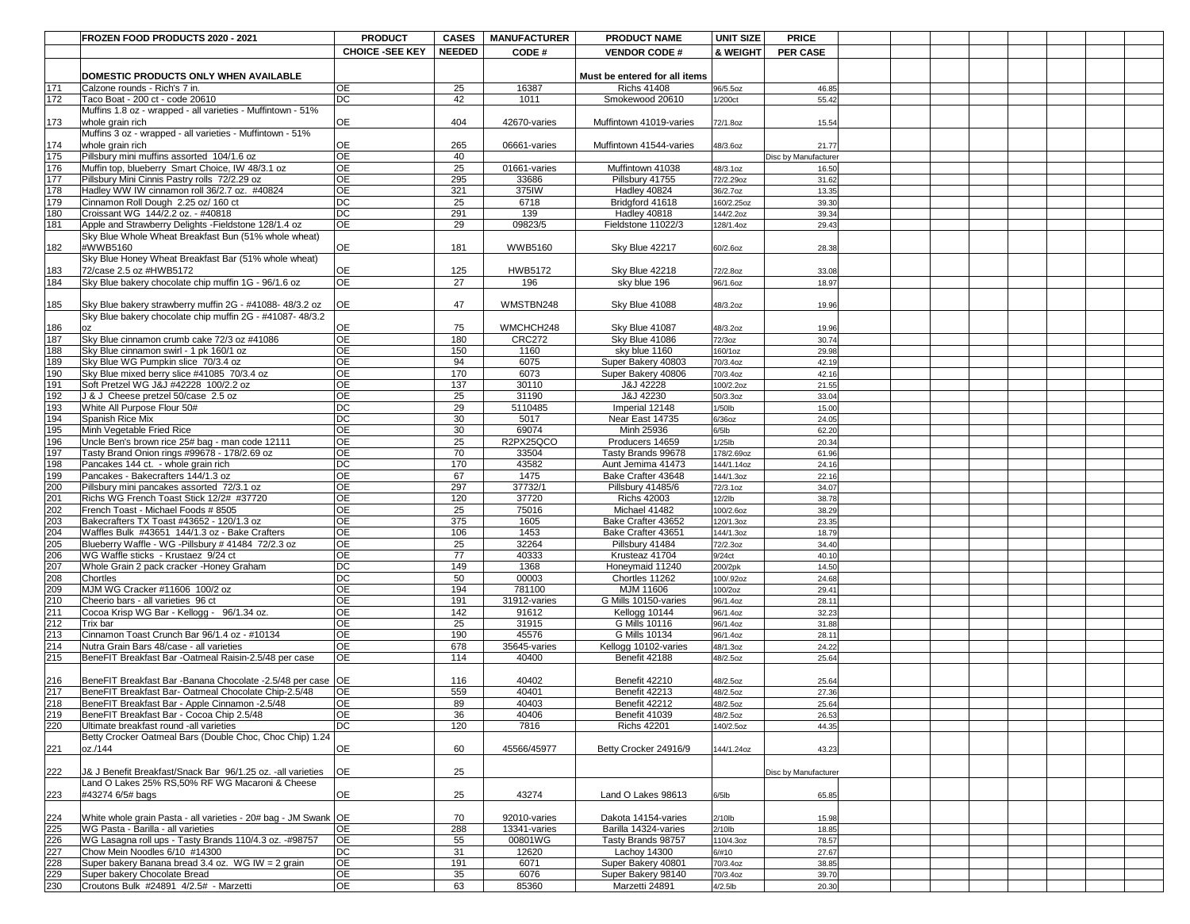|                          | <b>FROZEN FOOD PRODUCTS 2020 - 2021</b>                                                                       | <b>PRODUCT</b>               | <b>CASES</b>  | <b>MANUFACTURER</b>     | <b>PRODUCT NAME</b>                        | <b>UNIT SIZE</b>       | <b>PRICE</b>         |  |  |  |
|--------------------------|---------------------------------------------------------------------------------------------------------------|------------------------------|---------------|-------------------------|--------------------------------------------|------------------------|----------------------|--|--|--|
|                          |                                                                                                               | <b>CHOICE -SEE KEY</b>       | <b>NEEDED</b> | CODE#                   | <b>VENDOR CODE#</b>                        | <b>&amp; WEIGHT</b>    | <b>PER CASE</b>      |  |  |  |
|                          |                                                                                                               |                              |               |                         |                                            |                        |                      |  |  |  |
|                          | DOMESTIC PRODUCTS ONLY WHEN AVAILABLE                                                                         |                              |               |                         | Must be entered for all items              |                        |                      |  |  |  |
| 171                      | Calzone rounds - Rich's 7 in.                                                                                 | <b>OE</b>                    | 25            | 16387                   | <b>Richs 41408</b>                         | 96/5.5oz               | 46.85                |  |  |  |
| 172                      | Taco Boat - 200 ct - code 20610                                                                               | $\overline{DC}$              | 42            | 1011                    | Smokewood 20610                            | 1/200ct                | 55.42                |  |  |  |
|                          | Muffins 1.8 oz - wrapped - all varieties - Muffintown - 51%                                                   |                              |               |                         |                                            |                        |                      |  |  |  |
| 173                      | whole grain rich<br>Muffins 3 oz - wrapped - all varieties - Muffintown - 51%                                 | <b>OE</b>                    | 404           | 42670-varies            | Muffintown 41019-varies                    | 72/1.8oz               | 15.54                |  |  |  |
| 174                      | whole grain rich                                                                                              | <b>OE</b>                    | 265           | 06661-varies            | Muffintown 41544-varies                    | 48/3.6oz               | 21.77                |  |  |  |
| 175                      | Pillsbury mini muffins assorted 104/1.6 oz                                                                    | <b>OE</b>                    | 40            |                         |                                            |                        | Disc by Manufacturer |  |  |  |
| 176                      | Muffin top, blueberry Smart Choice, IW 48/3.1 oz                                                              | <b>OE</b>                    | 25            | 01661-varies            | Muffintown 41038                           | 48/3.1oz               | 16.50                |  |  |  |
| 177                      | Pillsbury Mini Cinnis Pastry rolls 72/2.29 oz                                                                 | <b>OE</b>                    | 295           | 33686                   | Pillsbury 41755                            | 72/2.29oz              | 31.62                |  |  |  |
| 178                      | Hadley WW IW cinnamon roll 36/2.7 oz. #40824                                                                  | <b>OE</b>                    | 321           | 375IW                   | Hadley 40824                               | 36/2.7oz               | 13.35                |  |  |  |
| 179                      | Cinnamon Roll Dough 2.25 oz/ 160 ct                                                                           | $\overline{DC}$              | 25            | 6718                    | Bridgford 41618                            | 160/2.25oz             | 39.30                |  |  |  |
| 180                      | Croissant WG 144/2.2 oz. - #40818                                                                             | $\overline{DC}$<br><b>OE</b> | 291           | 139                     | Hadley 40818                               | 144/2.2oz              | 39.34                |  |  |  |
| 181                      | Apple and Strawberry Delights - Fieldstone 128/1.4 oz<br>Sky Blue Whole Wheat Breakfast Bun (51% whole wheat) |                              | 29            | 09823/5                 | Fieldstone 11022/3                         | 128/1.4oz              | 29.43                |  |  |  |
| 182                      | #WWB5160                                                                                                      | <b>OE</b>                    | 181           | <b>WWB5160</b>          | Sky Blue 42217                             | 60/2.6oz               | 28.38                |  |  |  |
|                          | Sky Blue Honey Wheat Breakfast Bar (51% whole wheat)                                                          |                              |               |                         |                                            |                        |                      |  |  |  |
| 183                      | 72/case 2.5 oz #HWB5172                                                                                       | <b>OE</b>                    | 125           | <b>HWB5172</b>          | <b>Sky Blue 42218</b>                      | 72/2.80Z               | 33.08                |  |  |  |
| 184                      | Sky Blue bakery chocolate chip muffin 1G - 96/1.6 oz                                                          | <b>OE</b>                    | 27            | 196                     | sky blue 196                               | 96/1.6oz               | 18.97                |  |  |  |
|                          |                                                                                                               |                              |               |                         |                                            |                        |                      |  |  |  |
| 185                      | Sky Blue bakery strawberry muffin 2G - #41088-48/3.2 oz                                                       | <b>OE</b>                    | 47            | WMSTBN248               | <b>Sky Blue 41088</b>                      | 48/3.2oz               | 19.96                |  |  |  |
|                          | Sky Blue bakery chocolate chip muffin 2G - #41087- 48/3.2                                                     | <b>OE</b>                    | 75            | WMCHCH248               |                                            |                        |                      |  |  |  |
| 186<br>187               | loz<br>Sky Blue cinnamon crumb cake 72/3 oz #41086                                                            | <b>OE</b>                    | 180           | <b>CRC272</b>           | Sky Blue 41087<br>Sky Blue 41086           | 48/3.2oz<br>72/3oz     | 19.96<br>30.74       |  |  |  |
| 188                      | Sky Blue cinnamon swirl - 1 pk 160/1 oz                                                                       | <b>OE</b>                    | 150           | 1160                    | sky blue 1160                              | 160/1oz                | 29.98                |  |  |  |
| 189                      | Sky Blue WG Pumpkin slice 70/3.4 oz                                                                           | <b>OE</b>                    | 94            | 6075                    | Super Bakery 40803                         | 70/3.4oz               | 42.19                |  |  |  |
| 190                      | Sky Blue mixed berry slice #41085 70/3.4 oz                                                                   | <b>OE</b>                    | 170           | 6073                    | Super Bakery 40806                         | 70/3.4oz               | 42.16                |  |  |  |
| 191                      | Soft Pretzel WG J&J #42228 100/2.2 oz                                                                         | OE                           | 137           | 30110                   | J&J 42228                                  | 100/2.2oz              | 21.55                |  |  |  |
| 192                      | J & J Cheese pretzel 50/case 2.5 oz                                                                           | <b>OE</b>                    | 25            | 31190                   | J&J 42230                                  | 50/3.3oz               | 33.04                |  |  |  |
| 193                      | White All Purpose Flour 50#                                                                                   | $\overline{DC}$              | 29            | 5110485                 | Imperial 12148                             | $1/50$ lb              | 15.00                |  |  |  |
| 194<br>195               | Spanish Rice Mix<br>Minh Vegetable Fried Rice                                                                 | DC<br><b>OE</b>              | 30<br>30      | 5017<br>69074           | Near East 14735<br>Minh 25936              | 6/36oz<br>$6/5$ lb     | 24.05<br>62.20       |  |  |  |
| 196                      | Uncle Ben's brown rice 25# bag - man code 12111                                                               | <b>OE</b>                    | 25            | R2PX25QCO               | Producers 14659                            | $1/25$ lb              | 20.34                |  |  |  |
| 197                      | Tasty Brand Onion rings #99678 - 178/2.69 oz                                                                  | <b>OE</b>                    | 70            | 33504                   | Tasty Brands 99678                         | 178/2.69oz             | 61.96                |  |  |  |
| 198                      | Pancakes 144 ct. - whole grain rich                                                                           | DC                           | 170           | 43582                   | Aunt Jemima 41473                          | 144/1.14oz             | 24.16                |  |  |  |
| 199                      | Pancakes - Bakecrafters 144/1.3 oz                                                                            | <b>OE</b>                    | 67            | 1475                    | Bake Crafter 43648                         | 144/1.3oz              | 22.16                |  |  |  |
| 200                      | Pillsbury mini pancakes assorted 72/3.1 oz                                                                    | <b>OE</b>                    | 297           | 37732/1                 | <b>Pillsbury 41485/6</b>                   | 72/3.1oz               | 34.07                |  |  |  |
| 201                      | Richs WG French Toast Stick 12/2# #37720                                                                      | <b>OE</b>                    | 120           | 37720                   | <b>Richs 42003</b>                         | $12/2$ lb              | 38.78                |  |  |  |
| $\frac{202}{203}$        | French Toast - Michael Foods # 8505                                                                           | OE                           | 25            | 75016                   | Michael 41482                              | 100/2.6oz              | 38.29                |  |  |  |
| 204                      | Bakecrafters TX Toast #43652 - 120/1.3 oz<br>Waffles Bulk #43651 144/1.3 oz - Bake Crafters                   | <b>OE</b><br><b>OE</b>       | 375<br>106    | 1605<br>1453            | Bake Crafter 43652<br>Bake Crafter 43651   | 120/1.3oz<br>144/1.3oz | 23.35<br>18.79       |  |  |  |
| 205                      | Blueberry Waffle - WG -Pillsbury # 41484 72/2.3 oz                                                            | <b>OE</b>                    | 25            | 32264                   | Pillsbury 41484                            | 72/2.3oz               | 34.40                |  |  |  |
| 206                      | WG Waffle sticks - Krustaez 9/24 ct                                                                           | <b>OE</b>                    | 77            | 40333                   | Krusteaz 41704                             | 9/24ct                 | 40.10                |  |  |  |
| 207                      | Whole Grain 2 pack cracker - Honey Graham                                                                     | $\overline{DC}$              | 149           | 1368                    | Honeymaid 11240                            | 200/2pk                | 14.50                |  |  |  |
| 208                      | <b>Chortles</b>                                                                                               | DC                           | 50            | 00003                   | Chortles 11262                             | 100/.92oz              | 24.68                |  |  |  |
| 209                      | MJM WG Cracker #11606 100/2 oz                                                                                | <b>OE</b>                    | 194           | 781100                  | MJM 11606                                  | 100/2oz                | 29.41                |  |  |  |
| 210                      | Cheerio bars - all varieties 96 ct                                                                            | <b>OE</b>                    | 191           | 31912-varies            | G Mills 10150-varies                       | 96/1.4oz               | 28.11                |  |  |  |
| $\overline{211}$<br>212  | Cocoa Krisp WG Bar - Kellogg - 96/1.34 oz.                                                                    | <b>OE</b><br><b>OE</b>       | 142           | 91612                   | Kellogg 10144                              | 96/1.4oz               | 32.23                |  |  |  |
| 213                      | Trix bar<br>Cinnamon Toast Crunch Bar 96/1.4 oz - #10134                                                      | <b>OE</b>                    | 25<br>190     | 31915<br>45576          | G Mills 10116<br>G Mills 10134             | 96/1.4oz<br>96/1.4oz   | 31.88<br>28.11       |  |  |  |
| 214                      | Nutra Grain Bars 48/case - all varieties                                                                      | <b>OE</b>                    | 678           | 35645-varies            | Kellogg 10102-varies                       | 48/1.3oz               | 24.22                |  |  |  |
| 215                      | BeneFIT Breakfast Bar - Oatmeal Raisin-2.5/48 per case                                                        | <b>OE</b>                    | 114           | 40400                   | Benefit 42188                              | 48/2.5oz               | 25.64                |  |  |  |
|                          |                                                                                                               |                              |               |                         |                                            |                        |                      |  |  |  |
| 216                      | BeneFIT Breakfast Bar - Banana Chocolate - 2.5/48 per case   OE                                               |                              | 116           | 40402                   | Benefit 42210                              | 48/2.5oz               | 25.64                |  |  |  |
| 217                      | BeneFIT Breakfast Bar- Oatmeal Chocolate Chip-2.5/48                                                          | <b>OE</b>                    | 559           | 40401                   | Benefit 42213                              | 48/2.5oz               | 27.36                |  |  |  |
| 218                      | BeneFIT Breakfast Bar - Apple Cinnamon -2.5/48                                                                | <b>OE</b>                    | 89            | 40403                   | Benefit 42212                              | 48/2.5oz               | 25.64                |  |  |  |
| 219<br>220               | BeneFIT Breakfast Bar - Cocoa Chip 2.5/48<br>Ultimate breakfast round -all varieties                          | <b>OE</b><br><b>DC</b>       | 36<br>120     | 40406<br>7816           | Benefit 41039<br><b>Richs 42201</b>        | 48/2.5oz<br>140/2.5oz  | 26.53<br>44.35       |  |  |  |
|                          | Betty Crocker Oatmeal Bars (Double Choc, Choc Chip) 1.24                                                      |                              |               |                         |                                            |                        |                      |  |  |  |
| 221                      | oz./144                                                                                                       | <b>OE</b>                    | 60            | 45566/45977             | Betty Crocker 24916/9                      | 144/1.24oz             | 43.23                |  |  |  |
|                          |                                                                                                               |                              |               |                         |                                            |                        |                      |  |  |  |
| 222                      | U& J Benefit Breakfast/Snack Bar 96/1.25 oz. -all varieties                                                   | OE                           | 25            |                         |                                            |                        | Disc by Manufacturer |  |  |  |
|                          | Land O Lakes 25% RS,50% RF WG Macaroni & Cheese                                                               |                              |               |                         |                                            |                        |                      |  |  |  |
| 223                      | $\#43274$ 6/5# bags                                                                                           | OE                           | 25            | 43274                   | Land O Lakes 98613                         | $6/5$ lb               | 65.85                |  |  |  |
|                          |                                                                                                               |                              |               |                         |                                            |                        |                      |  |  |  |
| $\frac{224}{225}$<br>225 | White whole grain Pasta - all varieties - 20# bag - JM Swank   OE                                             |                              | 70            | 92010-varies            | Dakota 14154-varies                        | $2/10$ lb              | 15.98                |  |  |  |
|                          | <b>WG Pasta - Barilla - all varieties</b><br> WG Lasagna roll ups - Tasty Brands 110/4.3 oz. -#98757          | <b>OE</b><br><b>OE</b>       | 288<br>55     | 13341-varies<br>00801WG | Barilla 14324-varies<br>Tasty Brands 98757 | $2/10$ lb<br>110/4.3oz | 18.85<br>78.57       |  |  |  |
| 227                      | Chow Mein Noodles 6/10 #14300                                                                                 | DC                           | 31            | 12620                   | <b>Lachoy 14300</b>                        | 6/#10                  | 27.67                |  |  |  |
| 228                      | Super bakery Banana bread 3.4 oz. WG IW = 2 grain                                                             | <b>OE</b>                    | 191           | 6071                    | Super Bakery 40801                         | 70/3.4oz               | 38.85                |  |  |  |
| 229                      | Super bakery Chocolate Bread                                                                                  | <b>OE</b>                    | 35            | 6076                    | Super Bakery 98140                         | 70/3.4oz               | 39.70                |  |  |  |
| 230                      | Croutons Bulk #24891 4/2.5# - Marzetti                                                                        | <b>OE</b>                    | 63            | 85360                   | Marzetti 24891                             | $4/2.5$ lb             | 20.30                |  |  |  |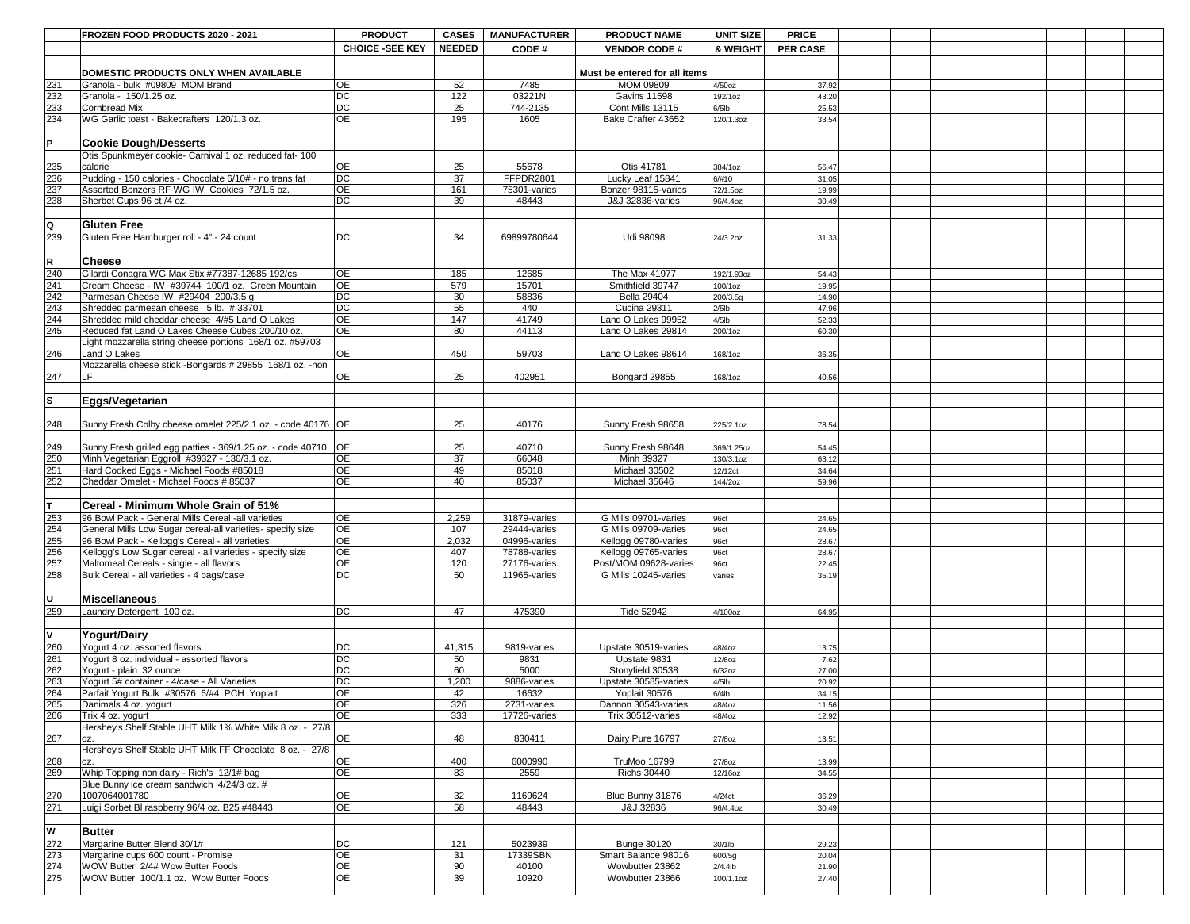|                   | <b>FROZEN FOOD PRODUCTS 2020 - 2021</b>                                                                      | <b>PRODUCT</b>         | <b>CASES</b>  | <b>MANUFACTURER</b>          | <b>PRODUCT NAME</b>                          | UNIT SIZE           | <b>PRICE</b>    |  |  |  |
|-------------------|--------------------------------------------------------------------------------------------------------------|------------------------|---------------|------------------------------|----------------------------------------------|---------------------|-----------------|--|--|--|
|                   |                                                                                                              | <b>CHOICE -SEE KEY</b> | <b>NEEDED</b> | CODE#                        | <b>VENDOR CODE#</b>                          | <b>&amp; WEIGHT</b> | <b>PER CASE</b> |  |  |  |
|                   | DOMESTIC PRODUCTS ONLY WHEN AVAILABLE                                                                        |                        |               |                              | Must be entered for all items                |                     |                 |  |  |  |
| 231               | Granola - bulk #09809 MOM Brand                                                                              | <b>OE</b>              | 52            | 7485                         | <b>MOM 09809</b>                             | 4/50oz              | 37.92           |  |  |  |
|                   | Granola - 150/1.25 oz.                                                                                       | $\overline{DC}$        | 122           | 03221N                       | <b>Gavins 11598</b>                          | 192/1oz             | 43.20           |  |  |  |
| 232<br>233<br>234 | <b>Cornbread Mix</b>                                                                                         | <b>DC</b>              | 25            | 744-2135                     | Cont Mills 13115                             | $6/5$ lb            | 25.53           |  |  |  |
|                   | WG Garlic toast - Bakecrafters 120/1.3 oz.                                                                   | <b>OE</b>              | 195           | 1605                         | Bake Crafter 43652                           | 120/1.3oz           | 33.54           |  |  |  |
| lP.               | <b>Cookie Dough/Desserts</b>                                                                                 |                        |               |                              |                                              |                     |                 |  |  |  |
|                   | Otis Spunkmeyer cookie- Carnival 1 oz. reduced fat- 100                                                      |                        |               |                              |                                              |                     |                 |  |  |  |
| 235               | calorie                                                                                                      | <b>OE</b>              | 25            | 55678                        | Otis 41781                                   | 384/1oz             | 56.47           |  |  |  |
| 236               | Pudding - 150 calories - Chocolate 6/10# - no trans fat                                                      | DC                     | 37            | FFPDR2801                    | Lucky Leaf 15841                             | 6/#10               | 31.05           |  |  |  |
| 237               | Assorted Bonzers RF WG IW Cookies 72/1.5 oz.                                                                 | <b>OE</b>              | 161           | 75301-varies                 | Bonzer 98115-varies                          | 72/1.5oz            | 19.99           |  |  |  |
| 238               | Sherbet Cups 96 ct./4 oz.                                                                                    | <b>DC</b>              | 39            | 48443                        | <b>J&amp;J 32836-varies</b>                  | 96/4.4oz            | 30.49           |  |  |  |
|                   |                                                                                                              |                        |               |                              |                                              |                     |                 |  |  |  |
| Q                 | <b>Gluten Free</b>                                                                                           |                        |               |                              |                                              |                     |                 |  |  |  |
| 239               | Gluten Free Hamburger roll - 4" - 24 count                                                                   | DC                     | 34            | 69899780644                  | <b>Udi 98098</b>                             | 24/3.2oz            | 31.33           |  |  |  |
|                   |                                                                                                              |                        |               |                              |                                              |                     |                 |  |  |  |
| R.                | <b>Cheese</b>                                                                                                |                        |               |                              |                                              |                     |                 |  |  |  |
| 240               | Gilardi Conagra WG Max Stix #77387-12685 192/cs                                                              | <b>OE</b>              | 185           | 12685                        | The Max 41977                                | 192/1.93oz          | 54.43           |  |  |  |
| 241<br>242        | Cream Cheese - IW #39744 100/1 oz. Green Mountain<br>Parmesan Cheese IW #29404 200/3.5 g                     | <b>OE</b><br><b>DC</b> | 579<br>30     | 15701<br>58836               | Smithfield 39747<br><b>Bella 29404</b>       | 100/1oz<br>200/3.5g | 19.95<br>14.90  |  |  |  |
| 243               | Shredded parmesan cheese 5 lb. #33701                                                                        | $\overline{DC}$        | 55            | 440                          | <b>Cucina 29311</b>                          | $2/5$ lb            | 47.96           |  |  |  |
| 244               | Shredded mild cheddar cheese 4/#5 Land O Lakes                                                               | <b>OE</b>              | 147           | 41749                        | Land O Lakes 99952                           | $4/5$ lb            | 52.33           |  |  |  |
| 245               | Reduced fat Land O Lakes Cheese Cubes 200/10 oz.                                                             | <b>OE</b>              | 80            | 44113                        | Land O Lakes 29814                           | 200/1oz             | 60.30           |  |  |  |
|                   | Light mozzarella string cheese portions 168/1 oz. #59703                                                     |                        |               |                              |                                              |                     |                 |  |  |  |
| 246               | Land O Lakes                                                                                                 | <b>OE</b>              | 450           | 59703                        | Land O Lakes 98614                           | 168/1oz             | 36.35           |  |  |  |
|                   | Mozzarella cheese stick -Bongards # 29855 168/1 oz. -non                                                     |                        |               |                              |                                              |                     |                 |  |  |  |
| 247               | LF.                                                                                                          | <b>OE</b>              | 25            | 402951                       | Bongard 29855                                | 168/1oz             | 40.56           |  |  |  |
|                   |                                                                                                              |                        |               |                              |                                              |                     |                 |  |  |  |
| ls.               | <b>Eggs/Vegetarian</b>                                                                                       |                        |               |                              |                                              |                     |                 |  |  |  |
|                   | Sunny Fresh Colby cheese omelet 225/2.1 oz. - code 40176   OE                                                |                        | 25            | 40176                        | Sunny Fresh 98658                            | 225/2.1oz           | 78.54           |  |  |  |
| 248               |                                                                                                              |                        |               |                              |                                              |                     |                 |  |  |  |
|                   | Sunny Fresh grilled egg patties - 369/1.25 oz. - code 40710   OE                                             |                        | 25            | 40710                        | Sunny Fresh 98648                            | 369/1.25oz          | 54.45           |  |  |  |
| 249<br>250        | Minh Vegetarian Eggroll #39327 - 130/3.1 oz.                                                                 | <b>OE</b>              | 37            | 66048                        | Minh 39327                                   | 130/3.1oz           | 63.12           |  |  |  |
| 251               | Hard Cooked Eggs - Michael Foods #85018                                                                      | <b>OE</b>              | 49            | 85018                        | Michael 30502                                | 12/12ct             | 34.64           |  |  |  |
| 252               | Cheddar Omelet - Michael Foods # 85037                                                                       | <b>OE</b>              | 40            | 85037                        | Michael 35646                                | 144/2oz             | 59.96           |  |  |  |
|                   |                                                                                                              |                        |               |                              |                                              |                     |                 |  |  |  |
| $\mathsf T$       | Cereal - Minimum Whole Grain of 51%                                                                          |                        |               |                              |                                              |                     |                 |  |  |  |
| 253               | 96 Bowl Pack - General Mills Cereal -all varieties                                                           | <b>OE</b>              | 2,259         | 31879-varies                 | G Mills 09701-varies                         | 96ct                | 24.65           |  |  |  |
|                   | General Mills Low Sugar cereal-all varieties- specify size                                                   | <b>OE</b><br><b>OE</b> | 107           | 29444-varies                 | G Mills 09709-varies                         | 96ct                | 24.65           |  |  |  |
| $\frac{254}{255}$ | 96 Bowl Pack - Kellogg's Cereal - all varieties<br>Kellogg's Low Sugar cereal - all varieties - specify size | <b>OE</b>              | 2,032<br>407  | 04996-varies<br>78788-varies | Kellogg 09780-varies<br>Kellogg 09765-varies | 96ct<br>96ct        | 28.67<br>28.67  |  |  |  |
| $\overline{257}$  | Maltomeal Cereals - single - all flavors                                                                     | <b>OE</b>              | 120           | 27176-varies                 | Post/MOM 09628-varies                        | 96ct                | 22.45           |  |  |  |
| 258               | Bulk Cereal - all varieties - 4 bags/case                                                                    | $\overline{DC}$        | 50            | 11965-varies                 | G Mills 10245-varies                         | varies              | 35.19           |  |  |  |
|                   |                                                                                                              |                        |               |                              |                                              |                     |                 |  |  |  |
| U                 | <b>Miscellaneous</b>                                                                                         |                        |               |                              |                                              |                     |                 |  |  |  |
| 259               | Laundry Detergent 100 oz.                                                                                    | <b>DC</b>              | 47            | 475390                       | Tide 52942                                   | 4/100oz             | 64.95           |  |  |  |
|                   |                                                                                                              |                        |               |                              |                                              |                     |                 |  |  |  |
| IV.               | Yogurt/Dairy                                                                                                 |                        |               |                              |                                              |                     |                 |  |  |  |
| 260<br>261        | Yogurt 4 oz. assorted flavors                                                                                | <b>DC</b>              | 41,315        | 9819-varies                  | Upstate 30519-varies                         | 48/4oz              | 13.75           |  |  |  |
|                   | Yogurt 8 oz. individual - assorted flavors                                                                   | $\overline{DC}$        | 50            | 9831                         | Upstate 9831                                 | 12/8oz              | 7.62            |  |  |  |
| 262<br>263<br>264 | Yogurt - plain 32 ounce                                                                                      | $\overline{DC}$        | 60            | 5000                         | Stonyfield 30538                             | 6/32oz              | 27.00           |  |  |  |
|                   | Yogurt 5# container - 4/case - All Varieties                                                                 | <b>DC</b>              | 1,200         | 9886-varies                  | Upstate 30585-varies                         | $4/5$ lb            | 20.92           |  |  |  |
| 265               | Parfait Yogurt Bulk #30576 6/#4 PCH Yoplait<br>Danimals 4 oz. yogurt                                         | <b>OE</b><br><b>OE</b> | 42<br>326     | 16632<br>2731-varies         | Yoplait 30576<br>Dannon 30543-varies         | $6/4$ lb<br>48/4oz  | 34.15<br>11.56  |  |  |  |
| 266               | Trix 4 oz. yogurt                                                                                            | <b>OE</b>              | 333           | 17726-varies                 | Trix 30512-varies                            | 48/4oz              | 12.92           |  |  |  |
|                   | Hershey's Shelf Stable UHT Milk 1% White Milk 8 oz. - 27/8                                                   |                        |               |                              |                                              |                     |                 |  |  |  |
| 267               | IOZ.                                                                                                         | <b>OE</b>              | 48            | 830411                       | Dairy Pure 16797                             | 27/8oz              | 13.51           |  |  |  |
|                   | Hershey's Shelf Stable UHT Milk FF Chocolate 8 oz. - 27/8                                                    |                        |               |                              |                                              |                     |                 |  |  |  |
| 268<br>269        | lOZ.                                                                                                         | <b>OE</b>              | 400           | 6000990                      | TruMoo 16799                                 | 27/8oz              | 13.99           |  |  |  |
|                   | Whip Topping non dairy - Rich's 12/1# bag                                                                    | <b>OE</b>              | 83            | 2559                         | <b>Richs 30440</b>                           | 12/16oz             | 34.55           |  |  |  |
| 270               | Blue Bunny ice cream sandwich 4/24/3 oz. #<br>1007064001780                                                  | <b>OE</b>              | 32            | 1169624                      | Blue Bunny 31876                             | 4/24ct              | 36.29           |  |  |  |
| 271               | Luigi Sorbet BI raspberry 96/4 oz. B25 #48443                                                                | <b>OE</b>              | 58            | 48443                        | J&J 32836                                    | 96/4.4oz            | 30.49           |  |  |  |
|                   |                                                                                                              |                        |               |                              |                                              |                     |                 |  |  |  |
| lW                | <b>Butter</b>                                                                                                |                        |               |                              |                                              |                     |                 |  |  |  |
| 272               | Margarine Butter Blend 30/1#                                                                                 | DC                     | 121           | 5023939                      | <b>Bunge 30120</b>                           | 30/1lb              | 29.23           |  |  |  |
| 273               | Margarine cups 600 count - Promise                                                                           | <b>OE</b>              | 31            | 17339SBN                     | Smart Balance 98016                          | 600/5g              | 20.04           |  |  |  |
| 274               | <b>WOW Butter 2/4# Wow Butter Foods</b>                                                                      | <b>OE</b>              | 90            | 40100                        | Wowbutter 23862                              | $2/4.4$ lb          | 21.90           |  |  |  |
| 275               | WOW Butter 100/1.1 oz. Wow Butter Foods                                                                      | OE                     | 39            | 10920                        | Wowbutter 23866                              | 100/1.1oz           | 27.40           |  |  |  |
|                   |                                                                                                              |                        |               |                              |                                              |                     |                 |  |  |  |